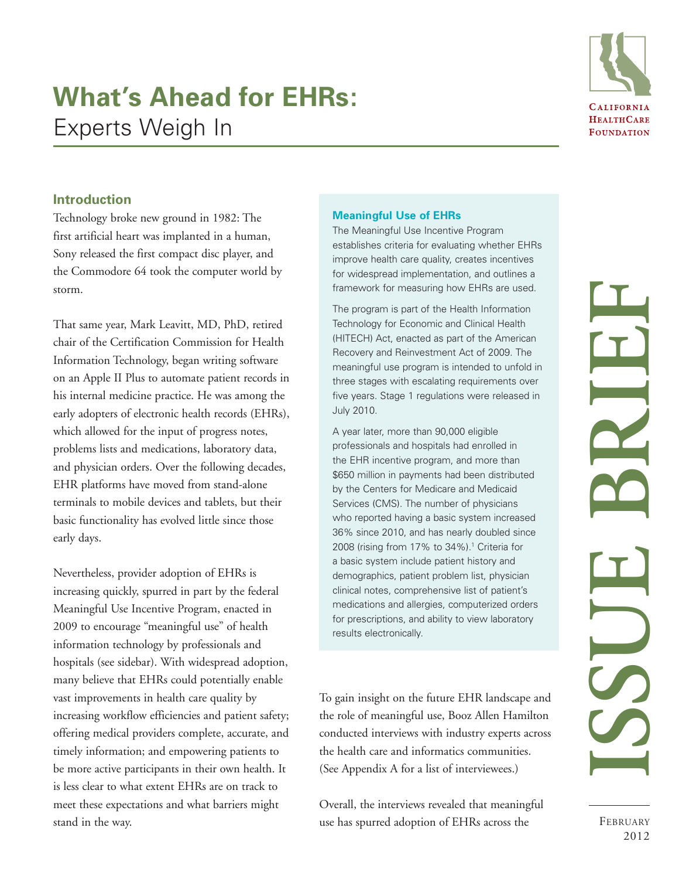# **What's Ahead for EHRs:**  Experts Weigh In



# **Introduction**

Technology broke new ground in 1982: The first artificial heart was implanted in a human, Sony released the first compact disc player, and the Commodore 64 took the computer world by storm.

That same year, Mark Leavitt, MD, PhD, retired chair of the Certification Commission for Health Information Technology, began writing software on an Apple II Plus to automate patient records in his internal medicine practice. He was among the early adopters of electronic health records (EHRs), which allowed for the input of progress notes, problems lists and medications, laboratory data, and physician orders. Over the following decades, EHR platforms have moved from stand-alone terminals to mobile devices and tablets, but their basic functionality has evolved little since those early days.

Nevertheless, provider adoption of EHRs is increasing quickly, spurred in part by the federal Meaningful Use Incentive Program, enacted in 2009 to encourage "meaningful use" of health information technology by professionals and hospitals (see sidebar). With widespread adoption, many believe that EHRs could potentially enable vast improvements in health care quality by increasing workflow efficiencies and patient safety; offering medical providers complete, accurate, and timely information; and empowering patients to be more active participants in their own health. It is less clear to what extent EHRs are on track to meet these expectations and what barriers might stand in the way.

## **Meaningful Use of EHRs**

The Meaningful Use Incentive Program establishes criteria for evaluating whether EHRs improve health care quality, creates incentives for widespread implementation, and outlines a framework for measuring how EHRs are used.

The program is part of the Health Information Technology for Economic and Clinical Health (HITECH) Act, enacted as part of the American Recovery and Reinvestment Act of 2009. The meaningful use program is intended to unfold in three stages with escalating requirements over five years. Stage 1 regulations were released in July 2010.

A year later, more than 90,000 eligible professionals and hospitals had enrolled in the EHR incentive program, and more than \$650 million in payments had been distributed by the Centers for Medicare and Medicaid Services (CMS). The number of physicians who reported having a basic system increased 36% since 2010, and has nearly doubled since 2008 (rising from 17% to 34%).1 Criteria for a basic system include patient history and demographics, patient problem list, physician clinical notes, comprehensive list of patient's medications and allergies, computerized orders for prescriptions, and ability to view laboratory results electronically.

To gain insight on the future EHR landscape and the role of meaningful use, Booz Allen Hamilton conducted interviews with industry experts across the health care and informatics communities. (See Appendix A for a list of interviewees.)

Overall, the interviews revealed that meaningful use has spurred adoption of EHRs across the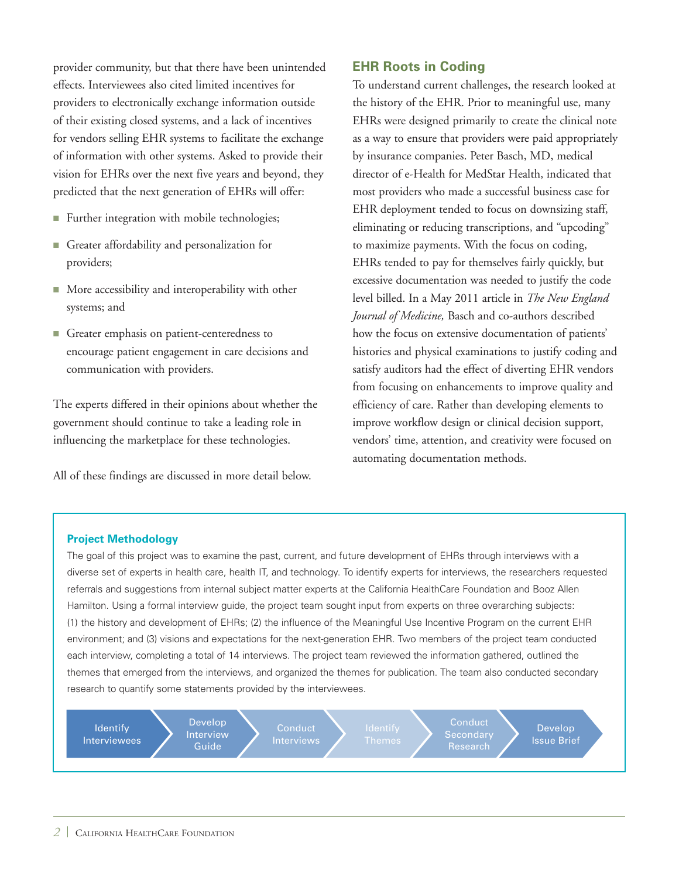provider community, but that there have been unintended effects. Interviewees also cited limited incentives for providers to electronically exchange information outside of their existing closed systems, and a lack of incentives for vendors selling EHR systems to facilitate the exchange of information with other systems. Asked to provide their vision for EHRs over the next five years and beyond, they predicted that the next generation of EHRs will offer:

- Further integration with mobile technologies;
- Greater affordability and personalization for providers;
- $\blacksquare$  More accessibility and interoperability with other systems; and
- Greater emphasis on patient-centeredness to encourage patient engagement in care decisions and communication with providers.

The experts differed in their opinions about whether the government should continue to take a leading role in influencing the marketplace for these technologies.

All of these findings are discussed in more detail below.

## **EHR Roots in Coding**

To understand current challenges, the research looked at the history of the EHR. Prior to meaningful use, many EHRs were designed primarily to create the clinical note as a way to ensure that providers were paid appropriately by insurance companies. Peter Basch, MD, medical director of e-Health for MedStar Health, indicated that most providers who made a successful business case for EHR deployment tended to focus on downsizing staff, eliminating or reducing transcriptions, and "upcoding" to maximize payments. With the focus on coding, EHRs tended to pay for themselves fairly quickly, but excessive documentation was needed to justify the code level billed. In a May 2011 article in *The New England Journal of Medicine,* Basch and co-authors described how the focus on extensive documentation of patients' histories and physical examinations to justify coding and satisfy auditors had the effect of diverting EHR vendors from focusing on enhancements to improve quality and efficiency of care. Rather than developing elements to improve workflow design or clinical decision support, vendors' time, attention, and creativity were focused on automating documentation methods.

#### **Project Methodology**

The goal of this project was to examine the past, current, and future development of EHRs through interviews with a diverse set of experts in health care, health IT, and technology. To identify experts for interviews, the researchers requested referrals and suggestions from internal subject matter experts at the California HealthCare Foundation and Booz Allen Hamilton. Using a formal interview guide, the project team sought input from experts on three overarching subjects: (1) the history and development of EHRs; (2) the influence of the Meaningful Use Incentive Program on the current EHR environment; and (3) visions and expectations for the next-generation EHR. Two members of the project team conducted each interview, completing a total of 14 interviews. The project team reviewed the information gathered, outlined the themes that emerged from the interviews, and organized the themes for publication. The team also conducted secondary research to quantify some statements provided by the interviewees.

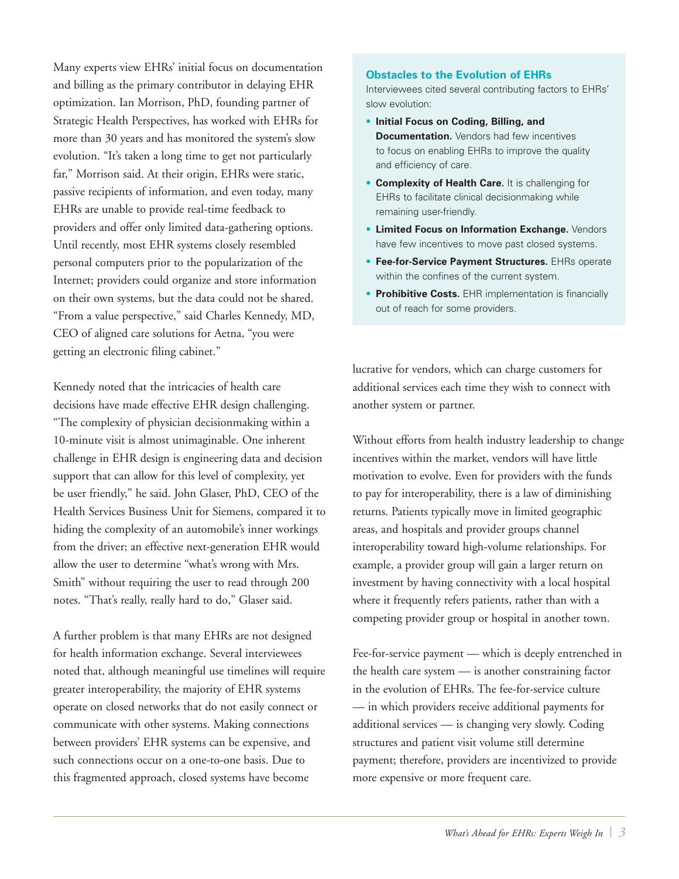Many experts view EHRs' initial focus on documentation and billing as the primary contributor in delaying EHR optimization. Ian Morrison, PhD, founding partner of Strategic Health Perspectives, has worked with EHRs for more than 30 years and has monitored the system's slow evolution. "It's taken a long time to get not particularly far," Morrison said. At their origin, EHRs were static, passive recipients of information, and even today, many EHRs are unable to provide real-time feedback to providers and offer only limited data-gathering options. Until recently, most EHR systems closely resembled personal computers prior to the popularization of the Internet; providers could organize and store information on their own systems, but the data could not be shared. "From a value perspective," said Charles Kennedy, MD, CEO of aligned care solutions for Aetna, "you were getting an electronic filing cabinet."

Kennedy noted that the intricacies of health care decisions have made effective EHR design challenging. "The complexity of physician decisionmaking within a 10-minute visit is almost unimaginable. One inherent challenge in EHR design is engineering data and decision support that can allow for this level of complexity, yet be user friendly," he said. John Glaser, PhD, CEO of the Health Services Business Unit for Siemens, compared it to hiding the complexity of an automobile's inner workings from the driver; an effective next-generation EHR would allow the user to determine "what's wrong with Mrs. Smith" without requiring the user to read through 200 notes. "That's really, really hard to do," Glaser said.

A further problem is that many EHRs are not designed for health information exchange. Several interviewees noted that, although meaningful use timelines will require greater interoperability, the majority of EHR systems operate on closed networks that do not easily connect or communicate with other systems. Making connections between providers' EHR systems can be expensive, and such connections occur on a one-to-one basis. Due to this fragmented approach, closed systems have become

#### **Obstacles to the Evolution of EHRs**

Interviewees cited several contributing factors to EHRs' slow evolution:

- • **Initial Focus on Coding, Billing, and Documentation.** Vendors had few incentives to focus on enabling EHRs to improve the quality and efficiency of care.
- **Complexity of Health Care.** It is challenging for EHRs to facilitate clinical decisionmaking while remaining user-friendly.
- **Limited Focus on Information Exchange.** Vendors have few incentives to move past closed systems.
- **Fee-for-Service Payment Structures.** EHRs operate within the confines of the current system.
- **Prohibitive Costs.** EHR implementation is financially out of reach for some providers.

lucrative for vendors, which can charge customers for additional services each time they wish to connect with another system or partner.

Without efforts from health industry leadership to change incentives within the market, vendors will have little motivation to evolve. Even for providers with the funds to pay for interoperability, there is a law of diminishing returns. Patients typically move in limited geographic areas, and hospitals and provider groups channel interoperability toward high-volume relationships. For example, a provider group will gain a larger return on investment by having connectivity with a local hospital where it frequently refers patients, rather than with a competing provider group or hospital in another town.

Fee-for-service payment — which is deeply entrenched in the health care system — is another constraining factor in the evolution of EHRs. The fee-for-service culture — in which providers receive additional payments for additional services — is changing very slowly. Coding structures and patient visit volume still determine payment; therefore, providers are incentivized to provide more expensive or more frequent care.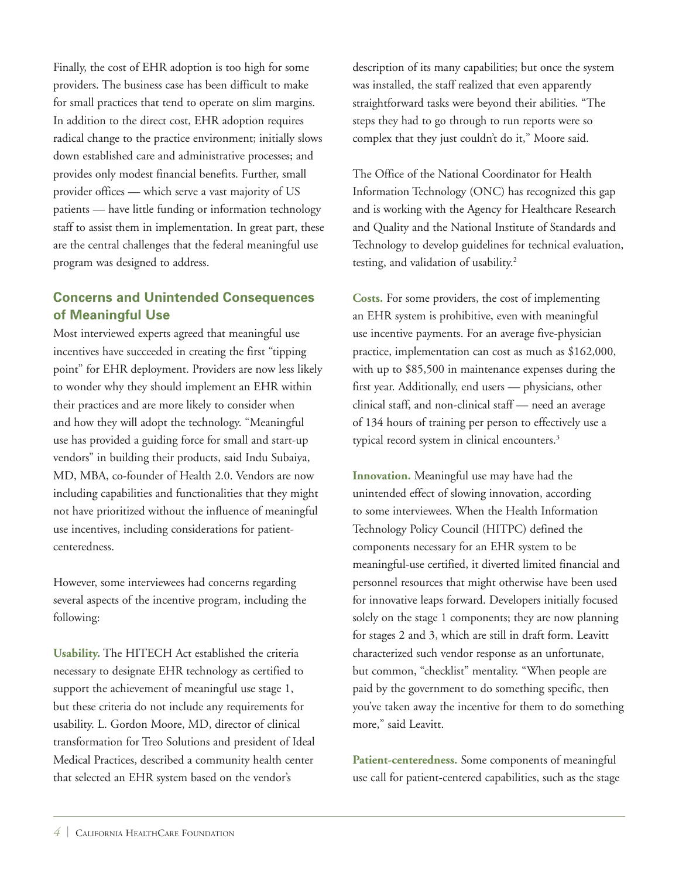Finally, the cost of EHR adoption is too high for some providers. The business case has been difficult to make for small practices that tend to operate on slim margins. In addition to the direct cost, EHR adoption requires radical change to the practice environment; initially slows down established care and administrative processes; and provides only modest financial benefits. Further, small provider offices — which serve a vast majority of US patients — have little funding or information technology staff to assist them in implementation. In great part, these are the central challenges that the federal meaningful use program was designed to address.

# **Concerns and Unintended Consequences of Meaningful Use**

Most interviewed experts agreed that meaningful use incentives have succeeded in creating the first "tipping point" for EHR deployment. Providers are now less likely to wonder why they should implement an EHR within their practices and are more likely to consider when and how they will adopt the technology. "Meaningful use has provided a guiding force for small and start-up vendors" in building their products, said Indu Subaiya, MD, MBA, co-founder of Health 2.0. Vendors are now including capabilities and functionalities that they might not have prioritized without the influence of meaningful use incentives, including considerations for patientcenteredness.

However, some interviewees had concerns regarding several aspects of the incentive program, including the following:

**Usability.** The HITECH Act established the criteria necessary to designate EHR technology as certified to support the achievement of meaningful use stage 1, but these criteria do not include any requirements for usability. L. Gordon Moore, MD, director of clinical transformation for Treo Solutions and president of Ideal Medical Practices, described a community health center that selected an EHR system based on the vendor's

description of its many capabilities; but once the system was installed, the staff realized that even apparently straightforward tasks were beyond their abilities. "The steps they had to go through to run reports were so complex that they just couldn't do it," Moore said.

The Office of the National Coordinator for Health Information Technology (ONC) has recognized this gap and is working with the Agency for Healthcare Research and Quality and the National Institute of Standards and Technology to develop guidelines for technical evaluation, testing, and validation of usability.<sup>2</sup>

**Costs.** For some providers, the cost of implementing an EHR system is prohibitive, even with meaningful use incentive payments. For an average five-physician practice, implementation can cost as much as \$162,000, with up to \$85,500 in maintenance expenses during the first year. Additionally, end users — physicians, other clinical staff, and non-clinical staff — need an average of 134 hours of training per person to effectively use a typical record system in clinical encounters.3

**Innovation.** Meaningful use may have had the unintended effect of slowing innovation, according to some interviewees. When the [Health Information](http://www.acronymfinder.com/Health-Information-Technology-Policy-Council-(HITPC).html)  [Technology Policy Council](http://www.acronymfinder.com/Health-Information-Technology-Policy-Council-(HITPC).html) (HITPC) defined the components necessary for an EHR system to be meaningful-use certified, it diverted limited financial and personnel resources that might otherwise have been used for innovative leaps forward. Developers initially focused solely on the stage 1 components; they are now planning for stages 2 and 3, which are still in draft form. Leavitt characterized such vendor response as an unfortunate, but common, "checklist" mentality. "When people are paid by the government to do something specific, then you've taken away the incentive for them to do something more," said Leavitt.

**Patient-centeredness.** Some components of meaningful use call for patient-centered capabilities, such as the stage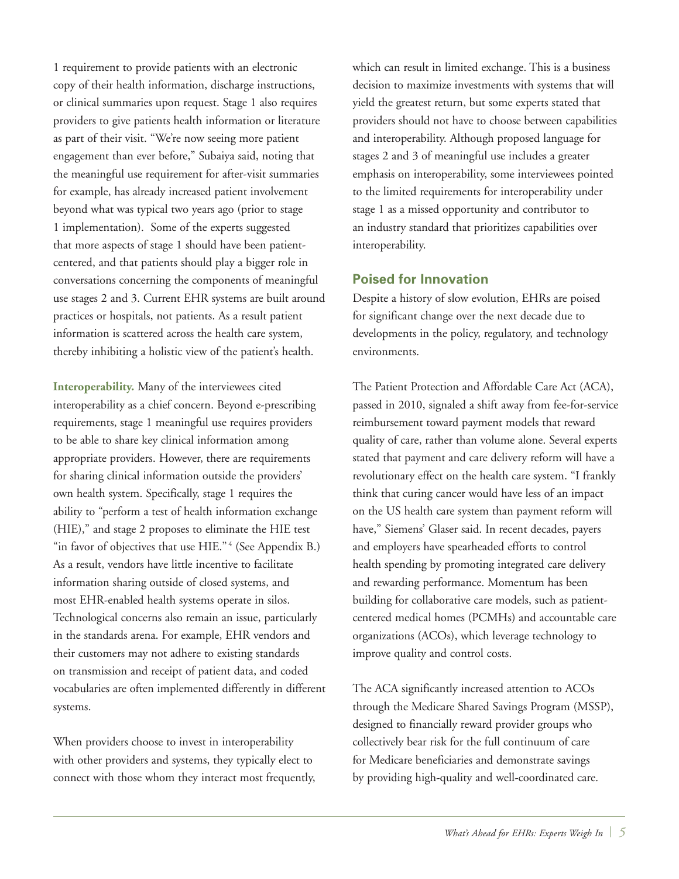1 requirement to provide patients with an electronic copy of their health information, discharge instructions, or clinical summaries upon request. Stage 1 also requires providers to give patients health information or literature as part of their visit. "We're now seeing more patient engagement than ever before," Subaiya said, noting that the meaningful use requirement for after-visit summaries for example, has already increased patient involvement beyond what was typical two years ago (prior to stage 1 implementation). Some of the experts suggested that more aspects of stage 1 should have been patientcentered, and that patients should play a bigger role in conversations concerning the components of meaningful use stages 2 and 3. Current EHR systems are built around practices or hospitals, not patients. As a result patient information is scattered across the health care system, thereby inhibiting a holistic view of the patient's health.

**Interoperability.** Many of the interviewees cited interoperability as a chief concern. Beyond e-prescribing requirements, stage 1 meaningful use requires providers to be able to share key clinical information among appropriate providers. However, there are requirements for sharing clinical information outside the providers' own health system. Specifically, stage 1 requires the ability to "perform a test of health information exchange (HIE)," and stage 2 proposes to eliminate the HIE test "in favor of objectives that use HIE."<sup>4</sup> (See Appendix B.) As a result, vendors have little incentive to facilitate information sharing outside of closed systems, and most EHR-enabled health systems operate in silos. Technological concerns also remain an issue, particularly in the standards arena. For example, EHR vendors and their customers may not adhere to existing standards on transmission and receipt of patient data, and coded vocabularies are often implemented differently in different systems.

When providers choose to invest in interoperability with other providers and systems, they typically elect to connect with those whom they interact most frequently, which can result in limited exchange. This is a business decision to maximize investments with systems that will yield the greatest return, but some experts stated that providers should not have to choose between capabilities and interoperability. Although proposed language for stages 2 and 3 of meaningful use includes a greater emphasis on interoperability, some interviewees pointed to the limited requirements for interoperability under stage 1 as a missed opportunity and contributor to an industry standard that prioritizes capabilities over interoperability.

## **Poised for Innovation**

Despite a history of slow evolution, EHRs are poised for significant change over the next decade due to developments in the policy, regulatory, and technology environments.

The Patient Protection and Affordable Care Act (ACA), passed in 2010, signaled a shift away from fee-for-service reimbursement toward payment models that reward quality of care, rather than volume alone. Several experts stated that payment and care delivery reform will have a revolutionary effect on the health care system. "I frankly think that curing cancer would have less of an impact on the US health care system than payment reform will have," Siemens' Glaser said. In recent decades, payers and employers have spearheaded efforts to control health spending by promoting integrated care delivery and rewarding performance. Momentum has been building for collaborative care models, such as patientcentered medical homes (PCMHs) and accountable care organizations (ACOs), which leverage technology to improve quality and control costs.

The ACA significantly increased attention to ACOs through the Medicare Shared Savings Program (MSSP), designed to financially reward provider groups who collectively bear risk for the full continuum of care for Medicare beneficiaries and demonstrate savings by providing high-quality and well-coordinated care.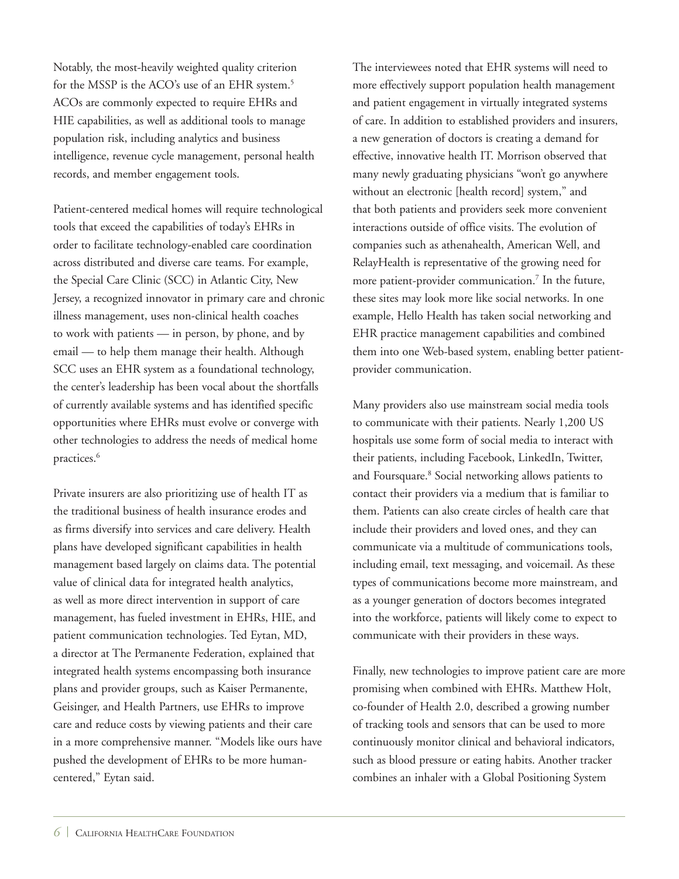Notably, the most-heavily weighted quality criterion for the MSSP is the ACO's use of an EHR system.<sup>5</sup> ACOs are commonly expected to require EHRs and HIE capabilities, as well as additional tools to manage population risk, including analytics and business intelligence, revenue cycle management, personal health records, and member engagement tools.

Patient-centered medical homes will require technological tools that exceed the capabilities of today's EHRs in order to facilitate technology-enabled care coordination across distributed and diverse care teams. For example, the Special Care Clinic (SCC) in Atlantic City, New Jersey, a recognized innovator in primary care and chronic illness management, uses non-clinical health coaches to work with patients — in person, by phone, and by email — to help them manage their health. Although SCC uses an EHR system as a foundational technology, the center's leadership has been vocal about the shortfalls of currently available systems and has identified specific opportunities where EHRs must evolve or converge with other technologies to address the needs of medical home practices.<sup>6</sup>

Private insurers are also prioritizing use of health IT as the traditional business of health insurance erodes and as firms diversify into services and care delivery. Health plans have developed significant capabilities in health management based largely on claims data. The potential value of clinical data for integrated health analytics, as well as more direct intervention in support of care management, has fueled investment in EHRs, HIE, and patient communication technologies. Ted Eytan, MD, a director at The Permanente Federation, explained that integrated health systems encompassing both insurance plans and provider groups, such as Kaiser Permanente, Geisinger, and Health Partners, use EHRs to improve care and reduce costs by viewing patients and their care in a more comprehensive manner. "Models like ours have pushed the development of EHRs to be more humancentered," Eytan said.

The interviewees noted that EHR systems will need to more effectively support population health management and patient engagement in virtually integrated systems of care. In addition to established providers and insurers, a new generation of doctors is creating a demand for effective, innovative health IT. Morrison observed that many newly graduating physicians "won't go anywhere without an electronic [health record] system," and that both patients and providers seek more convenient interactions outside of office visits. The evolution of companies such as athenahealth, American Well, and RelayHealth is representative of the growing need for more patient-provider communication.<sup>7</sup> In the future, these sites may look more like social networks. In one example, Hello Health has taken social networking and EHR practice management capabilities and combined them into one Web-based system, enabling better patientprovider communication.

Many providers also use mainstream social media tools to communicate with their patients. Nearly 1,200 US hospitals use some form of social media to interact with their patients, including Facebook, LinkedIn, Twitter, and Foursquare.<sup>8</sup> Social networking allows patients to contact their providers via a medium that is familiar to them. Patients can also create circles of health care that include their providers and loved ones, and they can communicate via a multitude of communications tools, including email, text messaging, and voicemail. As these types of communications become more mainstream, and as a younger generation of doctors becomes integrated into the workforce, patients will likely come to expect to communicate with their providers in these ways.

Finally, new technologies to improve patient care are more promising when combined with EHRs. Matthew Holt, co-founder of Health 2.0, described a growing number of tracking tools and sensors that can be used to more continuously monitor clinical and behavioral indicators, such as blood pressure or eating habits. Another tracker combines an inhaler with a Global Positioning System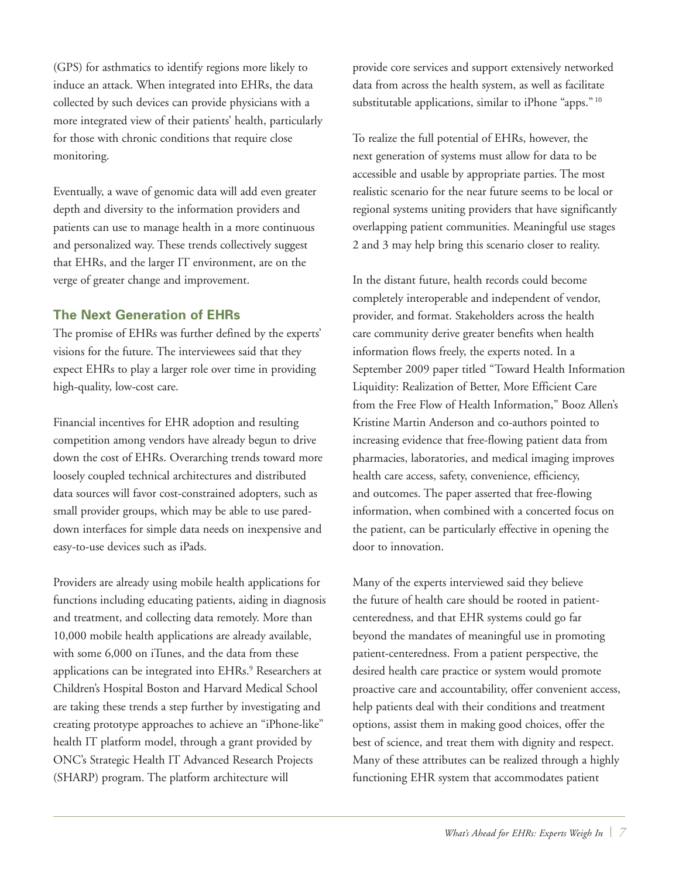(GPS) for asthmatics to identify regions more likely to induce an attack. When integrated into EHRs, the data collected by such devices can provide physicians with a more integrated view of their patients' health, particularly for those with chronic conditions that require close monitoring.

Eventually, a wave of genomic data will add even greater depth and diversity to the information providers and patients can use to manage health in a more continuous and personalized way. These trends collectively suggest that EHRs, and the larger IT environment, are on the verge of greater change and improvement.

## **The Next Generation of EHRs**

The promise of EHRs was further defined by the experts' visions for the future. The interviewees said that they expect EHRs to play a larger role over time in providing high-quality, low-cost care.

Financial incentives for EHR adoption and resulting competition among vendors have already begun to drive down the cost of EHRs. Overarching trends toward more loosely coupled technical architectures and distributed data sources will favor cost-constrained adopters, such as small provider groups, which may be able to use pareddown interfaces for simple data needs on inexpensive and easy-to-use devices such as iPads.

Providers are already using mobile health applications for functions including educating patients, aiding in diagnosis and treatment, and collecting data remotely. More than 10,000 mobile health applications are already available, with some 6,000 on iTunes, and the data from these applications can be integrated into EHRs.<sup>9</sup> Researchers at Children's Hospital Boston and Harvard Medical School are taking these trends a step further by investigating and creating prototype approaches to achieve an "iPhone-like" health IT platform model, through a grant provided by ONC's Strategic Health IT Advanced Research Projects (SHARP) program. The platform architecture will

provide core services and support extensively networked data from across the health system, as well as facilitate substitutable applications, similar to iPhone "apps."<sup>10</sup>

To realize the full potential of EHRs, however, the next generation of systems must allow for data to be accessible and usable by appropriate parties. The most realistic scenario for the near future seems to be local or regional systems uniting providers that have significantly overlapping patient communities. Meaningful use stages 2 and 3 may help bring this scenario closer to reality.

In the distant future, health records could become completely interoperable and independent of vendor, provider, and format. Stakeholders across the health care community derive greater benefits when health information flows freely, the experts noted. In a September 2009 paper titled "Toward Health Information Liquidity: Realization of Better, More Efficient Care from the Free Flow of Health Information," Booz Allen's Kristine Martin Anderson and co-authors pointed to increasing evidence that free-flowing patient data from pharmacies, laboratories, and medical imaging improves health care access, safety, convenience, efficiency, and outcomes. The paper asserted that free-flowing information, when combined with a concerted focus on the patient, can be particularly effective in opening the door to innovation.

Many of the experts interviewed said they believe the future of health care should be rooted in patientcenteredness, and that EHR systems could go far beyond the mandates of meaningful use in promoting patient-centeredness. From a patient perspective, the desired health care practice or system would promote proactive care and accountability, offer convenient access, help patients deal with their conditions and treatment options, assist them in making good choices, offer the best of science, and treat them with dignity and respect. Many of these attributes can be realized through a highly functioning EHR system that accommodates patient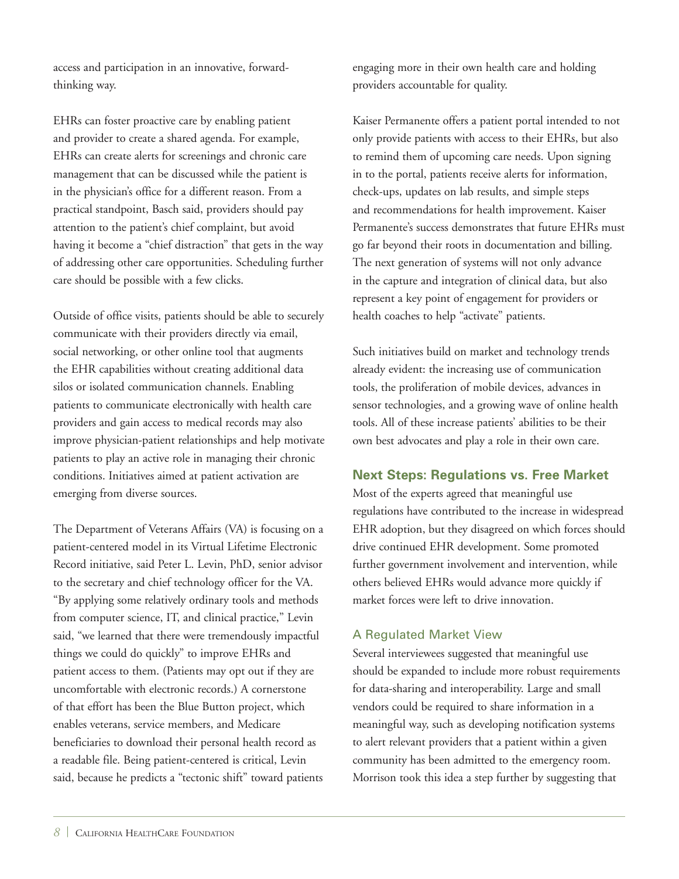access and participation in an innovative, forwardthinking way.

EHRs can foster proactive care by enabling patient and provider to create a shared agenda. For example, EHRs can create alerts for screenings and chronic care management that can be discussed while the patient is in the physician's office for a different reason. From a practical standpoint, Basch said, providers should pay attention to the patient's chief complaint, but avoid having it become a "chief distraction" that gets in the way of addressing other care opportunities. Scheduling further care should be possible with a few clicks.

Outside of office visits, patients should be able to securely communicate with their providers directly via email, social networking, or other online tool that augments the EHR capabilities without creating additional data silos or isolated communication channels. Enabling patients to communicate electronically with health care providers and gain access to medical records may also improve physician-patient relationships and help motivate patients to play an active role in managing their chronic conditions. Initiatives aimed at patient activation are emerging from diverse sources.

The Department of Veterans Affairs (VA) is focusing on a patient-centered model in its Virtual Lifetime Electronic Record initiative, said Peter L. Levin, PhD, senior advisor to the secretary and chief technology officer for the VA. "By applying some relatively ordinary tools and methods from computer science, IT, and clinical practice," Levin said, "we learned that there were tremendously impactful things we could do quickly" to improve EHRs and patient access to them. (Patients may opt out if they are uncomfortable with electronic records.) A cornerstone of that effort has been the Blue Button project, which enables veterans, service members, and Medicare beneficiaries to download their personal health record as a readable file. Being patient-centered is critical, Levin said, because he predicts a "tectonic shift" toward patients engaging more in their own health care and holding providers accountable for quality.

Kaiser Permanente offers a patient portal intended to not only provide patients with access to their EHRs, but also to remind them of upcoming care needs. Upon signing in to the portal, patients receive alerts for information, check-ups, updates on lab results, and simple steps and recommendations for health improvement. Kaiser Permanente's success demonstrates that future EHRs must go far beyond their roots in documentation and billing. The next generation of systems will not only advance in the capture and integration of clinical data, but also represent a key point of engagement for providers or health coaches to help "activate" patients.

Such initiatives build on market and technology trends already evident: the increasing use of communication tools, the proliferation of mobile devices, advances in sensor technologies, and a growing wave of online health tools. All of these increase patients' abilities to be their own best advocates and play a role in their own care.

# **Next Steps: Regulations vs. Free Market**

Most of the experts agreed that meaningful use regulations have contributed to the increase in widespread EHR adoption, but they disagreed on which forces should drive continued EHR development. Some promoted further government involvement and intervention, while others believed EHRs would advance more quickly if market forces were left to drive innovation.

# A Regulated Market View

Several interviewees suggested that meaningful use should be expanded to include more robust requirements for data-sharing and interoperability. Large and small vendors could be required to share information in a meaningful way, such as developing notification systems to alert relevant providers that a patient within a given community has been admitted to the emergency room. Morrison took this idea a step further by suggesting that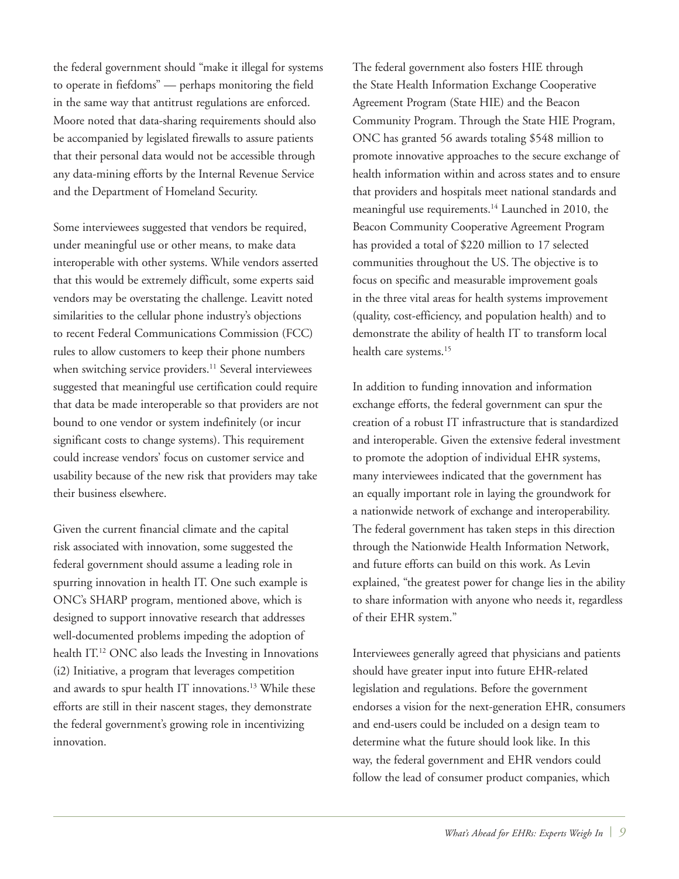the federal government should "make it illegal for systems to operate in fiefdoms" — perhaps monitoring the field in the same way that antitrust regulations are enforced. Moore noted that data-sharing requirements should also be accompanied by legislated firewalls to assure patients that their personal data would not be accessible through any data-mining efforts by the Internal Revenue Service and the Department of Homeland Security.

Some interviewees suggested that vendors be required, under meaningful use or other means, to make data interoperable with other systems. While vendors asserted that this would be extremely difficult, some experts said vendors may be overstating the challenge. Leavitt noted similarities to the cellular phone industry's objections to recent Federal Communications Commission (FCC) rules to allow customers to keep their phone numbers when switching service providers.<sup>11</sup> Several interviewees suggested that meaningful use certification could require that data be made interoperable so that providers are not bound to one vendor or system indefinitely (or incur significant costs to change systems). This requirement could increase vendors' focus on customer service and usability because of the new risk that providers may take their business elsewhere.

Given the current financial climate and the capital risk associated with innovation, some suggested the federal government should assume a leading role in spurring innovation in health IT. One such example is ONC's SHARP program, mentioned above, which is designed to support innovative research that addresses well-documented problems impeding the adoption of health IT.12 ONC also leads the Investing in Innovations (i2) Initiative, a program that leverages competition and awards to spur health IT innovations.<sup>13</sup> While these efforts are still in their nascent stages, they demonstrate the federal government's growing role in incentivizing innovation.

The federal government also fosters HIE through the State Health Information Exchange Cooperative Agreement Program (State HIE) and the Beacon Community Program. Through the State HIE Program, ONC has granted 56 awards totaling \$548 million to promote innovative approaches to the secure exchange of health information within and across states and to ensure that providers and hospitals meet national standards and meaningful use requirements.<sup>14</sup> Launched in 2010, the Beacon Community Cooperative Agreement Program has provided a total of \$220 million to 17 selected communities throughout the US. The objective is to focus on specific and measurable improvement goals in the three vital areas for health systems improvement (quality, cost-efficiency, and population health) and to demonstrate the ability of health IT to transform local health care systems.<sup>15</sup>

In addition to funding innovation and information exchange efforts, the federal government can spur the creation of a robust IT infrastructure that is standardized and interoperable. Given the extensive federal investment to promote the adoption of individual EHR systems, many interviewees indicated that the government has an equally important role in laying the groundwork for a nationwide network of exchange and interoperability. The federal government has taken steps in this direction through the Nationwide Health Information Network, and future efforts can build on this work. As Levin explained, "the greatest power for change lies in the ability to share information with anyone who needs it, regardless of their EHR system."

Interviewees generally agreed that physicians and patients should have greater input into future EHR-related legislation and regulations. Before the government endorses a vision for the next-generation EHR, consumers and end-users could be included on a design team to determine what the future should look like. In this way, the federal government and EHR vendors could follow the lead of consumer product companies, which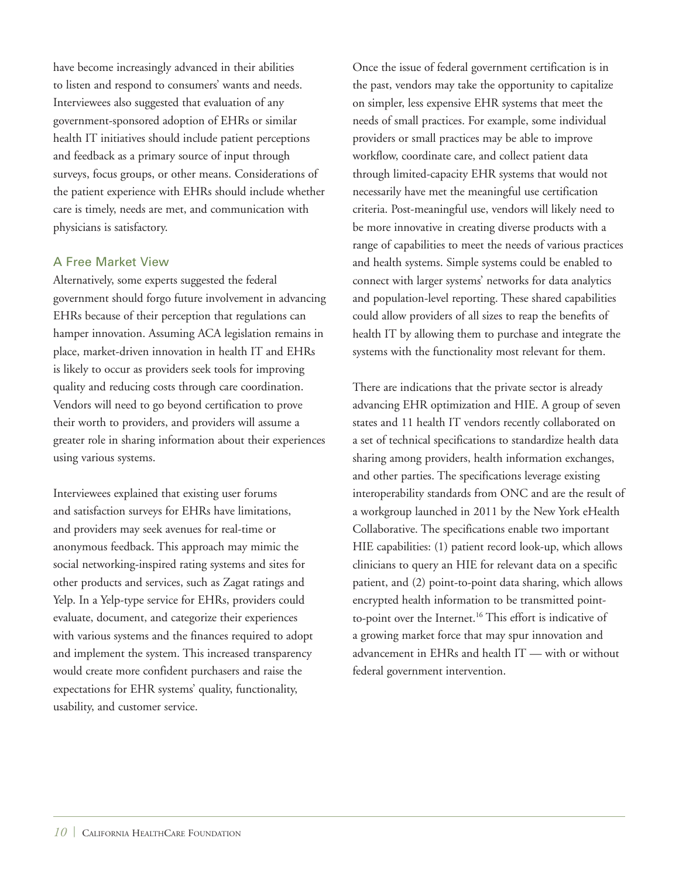have become increasingly advanced in their abilities to listen and respond to consumers' wants and needs. Interviewees also suggested that evaluation of any government-sponsored adoption of EHRs or similar health IT initiatives should include patient perceptions and feedback as a primary source of input through surveys, focus groups, or other means. Considerations of the patient experience with EHRs should include whether care is timely, needs are met, and communication with physicians is satisfactory.

#### A Free Market View

Alternatively, some experts suggested the federal government should forgo future involvement in advancing EHRs because of their perception that regulations can hamper innovation. Assuming ACA legislation remains in place, market-driven innovation in health IT and EHRs is likely to occur as providers seek tools for improving quality and reducing costs through care coordination. Vendors will need to go beyond certification to prove their worth to providers, and providers will assume a greater role in sharing information about their experiences using various systems.

Interviewees explained that existing user forums and satisfaction surveys for EHRs have limitations, and providers may seek avenues for real-time or anonymous feedback. This approach may mimic the social networking-inspired rating systems and sites for other products and services, such as Zagat ratings and Yelp. In a Yelp-type service for EHRs, providers could evaluate, document, and categorize their experiences with various systems and the finances required to adopt and implement the system. This increased transparency would create more confident purchasers and raise the expectations for EHR systems' quality, functionality, usability, and customer service.

Once the issue of federal government certification is in the past, vendors may take the opportunity to capitalize on simpler, less expensive EHR systems that meet the needs of small practices. For example, some individual providers or small practices may be able to improve workflow, coordinate care, and collect patient data through limited-capacity EHR systems that would not necessarily have met the meaningful use certification criteria. Post-meaningful use, vendors will likely need to be more innovative in creating diverse products with a range of capabilities to meet the needs of various practices and health systems. Simple systems could be enabled to connect with larger systems' networks for data analytics and population-level reporting. These shared capabilities could allow providers of all sizes to reap the benefits of health IT by allowing them to purchase and integrate the systems with the functionality most relevant for them.

There are indications that the private sector is already advancing EHR optimization and HIE. A group of seven states and 11 health IT vendors recently collaborated on a set of technical specifications to standardize health data sharing among providers, health information exchanges, and other parties. The specifications leverage existing interoperability standards from ONC and are the result of a workgroup launched in 2011 by the New York eHealth Collaborative. The specifications enable two important HIE capabilities: (1) patient record look-up, which allows clinicians to query an HIE for relevant data on a specific patient, and (2) point-to-point data sharing, which allows encrypted health information to be transmitted pointto-point over the Internet.<sup>16</sup> This effort is indicative of a growing market force that may spur innovation and advancement in EHRs and health IT — with or without federal government intervention.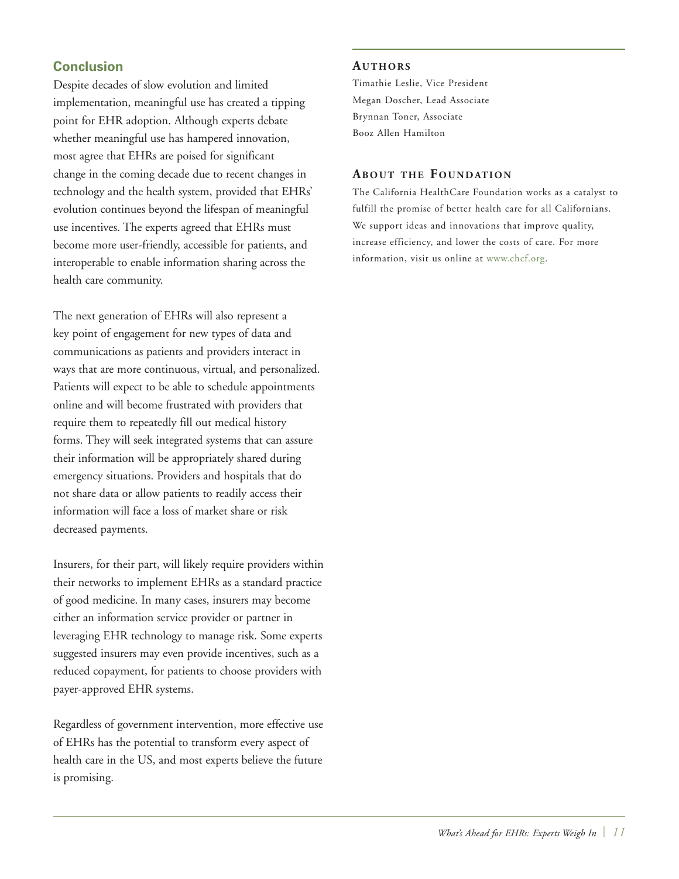# **Conclusion**

Despite decades of slow evolution and limited implementation, meaningful use has created a tipping point for EHR adoption. Although experts debate whether meaningful use has hampered innovation, most agree that EHRs are poised for significant change in the coming decade due to recent changes in technology and the health system, provided that EHRs' evolution continues beyond the lifespan of meaningful use incentives. The experts agreed that EHRs must become more user-friendly, accessible for patients, and interoperable to enable information sharing across the health care community.

The next generation of EHRs will also represent a key point of engagement for new types of data and communications as patients and providers interact in ways that are more continuous, virtual, and personalized. Patients will expect to be able to schedule appointments online and will become frustrated with providers that require them to repeatedly fill out medical history forms. They will seek integrated systems that can assure their information will be appropriately shared during emergency situations. Providers and hospitals that do not share data or allow patients to readily access their information will face a loss of market share or risk decreased payments.

Insurers, for their part, will likely require providers within their networks to implement EHRs as a standard practice of good medicine. In many cases, insurers may become either an information service provider or partner in leveraging EHR technology to manage risk. Some experts suggested insurers may even provide incentives, such as a reduced copayment, for patients to choose providers with payer-approved EHR systems.

Regardless of government intervention, more effective use of EHRs has the potential to transform every aspect of health care in the US, and most experts believe the future is promising.

#### AUTHORS

Timathie Leslie, Vice President Megan Doscher, Lead Associate Brynnan Toner, Associate Booz Allen Hamilton

#### **ABOUT THE FOUNDATION**

The California HealthCare Foundation works as a catalyst to fulfill the promise of better health care for all Californians. We support ideas and innovations that improve quality, increase efficiency, and lower the costs of care. For more information, visit us online at [www.chcf.org.](http://www.chcf.org)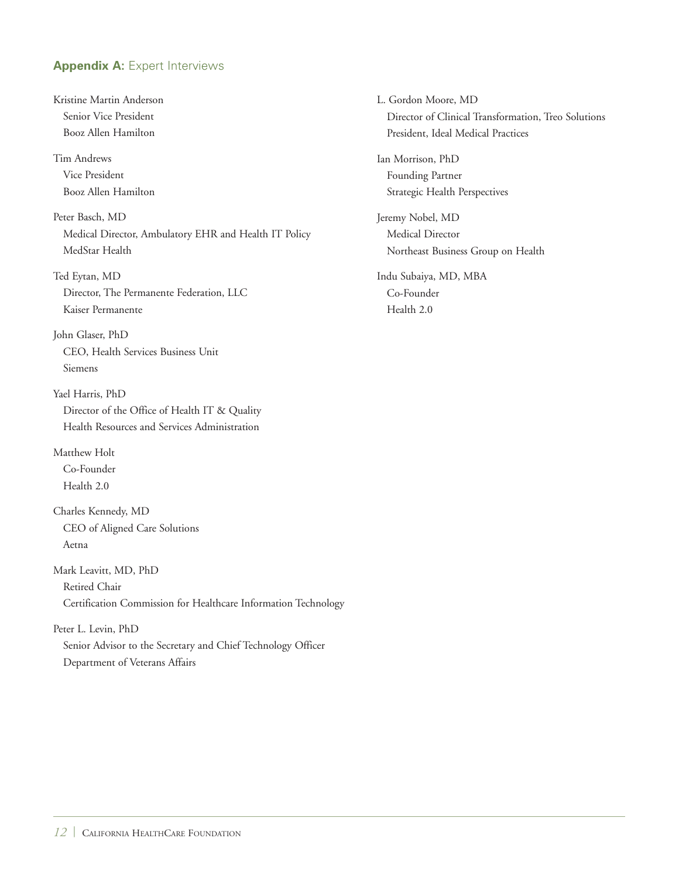## **Appendix A: Expert Interviews**

Kristine Martin Anderson Senior Vice President Booz Allen Hamilton Tim Andrews Vice President Booz Allen Hamilton Peter Basch, MD Medical Director, Ambulatory EHR and Health IT Policy MedStar Health Ted Eytan, MD Director, The Permanente Federation, LLC Kaiser Permanente John Glaser, PhD CEO, Health Services Business Unit Siemens Yael Harris, PhD Director of the Office of Health IT & Quality Health Resources and Services Administration Matthew Holt Co-Founder Health 2.0 Charles Kennedy, MD CEO of Aligned Care Solutions Aetna Mark Leavitt, MD, PhD Retired Chair Certification Commission for Healthcare Information Technology Peter L. Levin, PhD

Senior Advisor to the Secretary and Chief Technology Officer Department of Veterans Affairs

L. Gordon Moore, MD Director of Clinical Transformation, Treo Solutions President, Ideal Medical Practices Ian Morrison, PhD Founding Partner Strategic Health Perspectives Jeremy Nobel, MD Medical Director Northeast Business Group on Health Indu Subaiya, MD, MBA

Co-Founder Health 2.0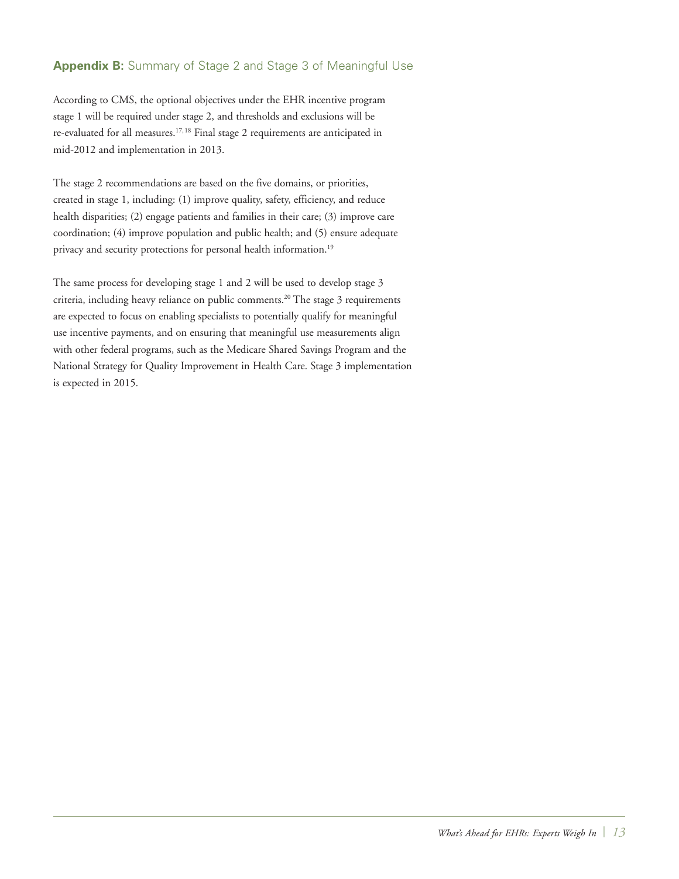## **Appendix B:** Summary of Stage 2 and Stage 3 of Meaningful Use

According to CMS, the optional objectives under the EHR incentive program stage 1 will be required under stage 2, and thresholds and exclusions will be re-evaluated for all measures.<sup>17,18</sup> Final stage 2 requirements are anticipated in mid-2012 and implementation in 2013.

The stage 2 recommendations are based on the five domains, or priorities, created in stage 1, including: (1) improve quality, safety, efficiency, and reduce health disparities; (2) engage patients and families in their care; (3) improve care coordination; (4) improve population and public health; and (5) ensure adequate privacy and security protections for personal health information.<sup>19</sup>

The same process for developing stage 1 and 2 will be used to develop stage 3 criteria, including heavy reliance on public comments.20 The stage 3 requirements are expected to focus on enabling specialists to potentially qualify for meaningful use incentive payments, and on ensuring that meaningful use measurements align with other federal programs, such as the Medicare Shared Savings Program and the National Strategy for Quality Improvement in Health Care. Stage 3 implementation is expected in 2015.